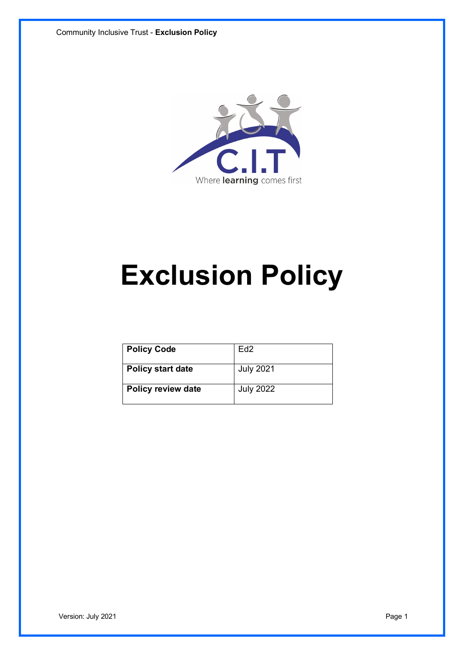

# **Exclusion Policy**

| <b>Policy Code</b>        | Ed <sub>2</sub>  |
|---------------------------|------------------|
| <b>Policy start date</b>  | <b>July 2021</b> |
| <b>Policy review date</b> | <b>July 2022</b> |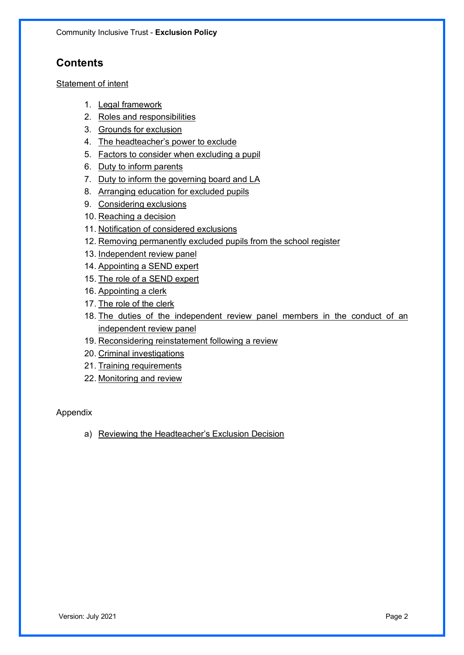# **Contents**

#### Statement of intent

- 1. Legal framework
- 2. Roles and responsibilities
- 3. Grounds for exclusion
- 4. The headteacher's power to exclude
- 5. Factors to consider when excluding a pupil
- 6. Duty to inform parents
- 7. Duty to inform the governing board and LA
- 8. Arranging education for excluded pupils
- 9. Considering exclusions
- 10. Reaching a decision
- 11. Notification of considered exclusions
- 12. Removing permanently excluded pupils from the school register
- 13. Independent review panel
- 14. Appointing a SEND expert
- 15. The role of a SEND expert
- 16. Appointing a clerk
- 17. The role of the clerk
- 18. The duties of the independent review panel members in the conduct of an independent review panel
- 19. Reconsidering reinstatement following a review
- 20. Criminal investigations
- 21. Training requirements
- 22. Monitoring and review

#### Appendix

a) Reviewing the Headteacher's Exclusion Decision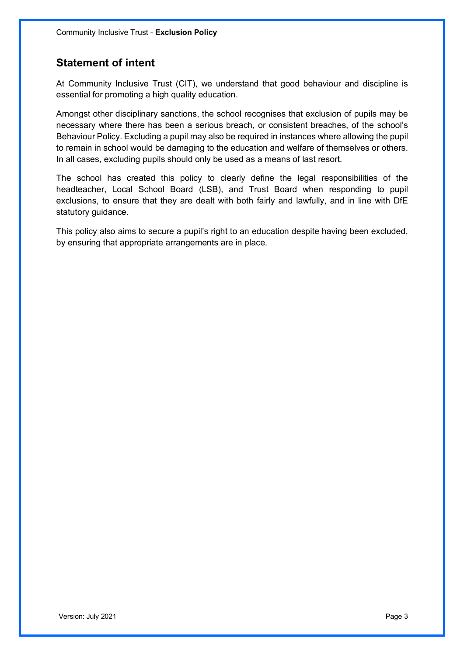## **Statement of intent**

At Community Inclusive Trust (CIT), we understand that good behaviour and discipline is essential for promoting a high quality education.

Amongst other disciplinary sanctions, the school recognises that exclusion of pupils may be necessary where there has been a serious breach, or consistent breaches, of the school's Behaviour Policy. Excluding a pupil may also be required in instances where allowing the pupil to remain in school would be damaging to the education and welfare of themselves or others. In all cases, excluding pupils should only be used as a means of last resort.

The school has created this policy to clearly define the legal responsibilities of the headteacher, Local School Board (LSB), and Trust Board when responding to pupil exclusions, to ensure that they are dealt with both fairly and lawfully, and in line with DfE statutory guidance.

This policy also aims to secure a pupil's right to an education despite having been excluded, by ensuring that appropriate arrangements are in place.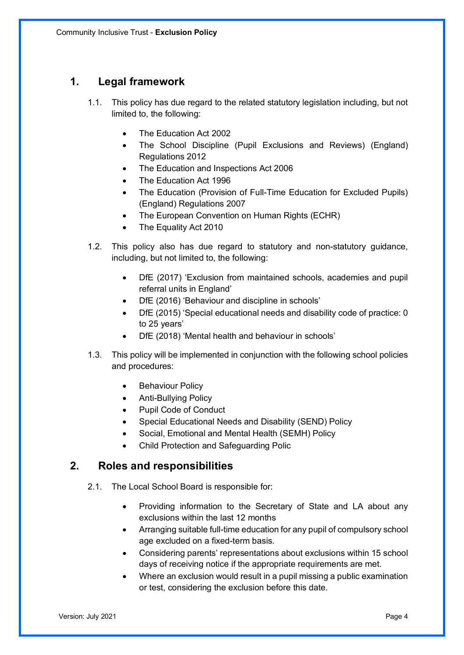## **1. Legal framework**

- 1.1. This policy has due regard to the related statutory legislation including, but not limited to, the following:
	- The Education Act 2002
	- The School Discipline (Pupil Exclusions and Reviews) (England) Regulations 2012
	- The Education and Inspections Act 2006
	- The Education Act 1996
	- The Education (Provision of Full-Time Education for Excluded Pupils) (England) Regulations 2007
	- The European Convention on Human Rights (ECHR)
	- The Equality Act 2010
- 1.2. This policy also has due regard to statutory and non-statutory guidance, including, but not limited to, the following:
	- DfE (2017) 'Exclusion from maintained schools, academies and pupil referral units in England'
	- DfE (2016) 'Behaviour and discipline in schools'
	- DfE (2015) 'Special educational needs and disability code of practice: 0 to 25 years'
	- DfE (2018) 'Mental health and behaviour in schools'
- 1.3. This policy will be implemented in conjunction with the following school policies and procedures:
	- Behaviour Policy
	- Anti-Bullying Policy
	- Pupil Code of Conduct
	- Special Educational Needs and Disability (SEND) Policy
	- Social, Emotional and Mental Health (SEMH) Policy
	- Child Protection and Safeguarding Polic

#### **2. Roles and responsibilities**

- 2.1. The Local School Board is responsible for:
	- Providing information to the Secretary of State and LA about any exclusions within the last 12 months
	- Arranging suitable full-time education for any pupil of compulsory school age excluded on a fixed-term basis.
	- Considering parents' representations about exclusions within 15 school days of receiving notice if the appropriate requirements are met.
	- Where an exclusion would result in a pupil missing a public examination or test, considering the exclusion before this date.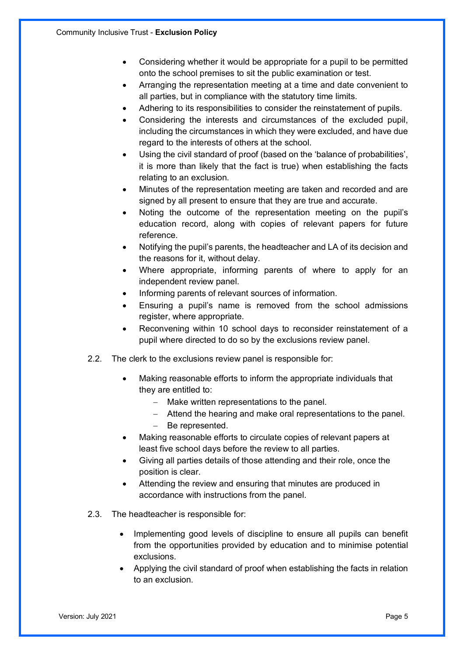- Considering whether it would be appropriate for a pupil to be permitted onto the school premises to sit the public examination or test.
- Arranging the representation meeting at a time and date convenient to all parties, but in compliance with the statutory time limits.
- Adhering to its responsibilities to consider the reinstatement of pupils.
- Considering the interests and circumstances of the excluded pupil, including the circumstances in which they were excluded, and have due regard to the interests of others at the school.
- Using the civil standard of proof (based on the 'balance of probabilities', it is more than likely that the fact is true) when establishing the facts relating to an exclusion.
- Minutes of the representation meeting are taken and recorded and are signed by all present to ensure that they are true and accurate.
- Noting the outcome of the representation meeting on the pupil's education record, along with copies of relevant papers for future reference.
- Notifying the pupil's parents, the headteacher and LA of its decision and the reasons for it, without delay.
- Where appropriate, informing parents of where to apply for an independent review panel.
- Informing parents of relevant sources of information.
- Ensuring a pupil's name is removed from the school admissions register, where appropriate.
- Reconvening within 10 school days to reconsider reinstatement of a pupil where directed to do so by the exclusions review panel.
- 2.2. The clerk to the exclusions review panel is responsible for:
	- Making reasonable efforts to inform the appropriate individuals that they are entitled to:
		- Make written representations to the panel.
		- Attend the hearing and make oral representations to the panel.
		- Be represented.
	- Making reasonable efforts to circulate copies of relevant papers at least five school days before the review to all parties.
	- Giving all parties details of those attending and their role, once the position is clear.
	- Attending the review and ensuring that minutes are produced in accordance with instructions from the panel.
- 2.3. The headteacher is responsible for:
	- Implementing good levels of discipline to ensure all pupils can benefit from the opportunities provided by education and to minimise potential exclusions.
	- Applying the civil standard of proof when establishing the facts in relation to an exclusion.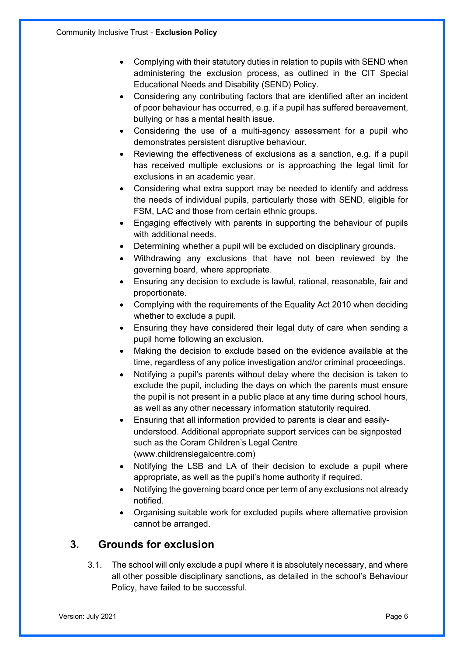- Complying with their statutory duties in relation to pupils with SEND when administering the exclusion process, as outlined in the CIT Special Educational Needs and Disability (SEND) Policy.
- Considering any contributing factors that are identified after an incident of poor behaviour has occurred, e.g. if a pupil has suffered bereavement, bullying or has a mental health issue.
- Considering the use of a multi-agency assessment for a pupil who demonstrates persistent disruptive behaviour.
- Reviewing the effectiveness of exclusions as a sanction, e.g. if a pupil has received multiple exclusions or is approaching the legal limit for exclusions in an academic year.
- Considering what extra support may be needed to identify and address the needs of individual pupils, particularly those with SEND, eligible for FSM, LAC and those from certain ethnic groups.
- Engaging effectively with parents in supporting the behaviour of pupils with additional needs.
- Determining whether a pupil will be excluded on disciplinary grounds.
- Withdrawing any exclusions that have not been reviewed by the governing board, where appropriate.
- Ensuring any decision to exclude is lawful, rational, reasonable, fair and proportionate.
- Complying with the requirements of the Equality Act 2010 when deciding whether to exclude a pupil.
- Ensuring they have considered their legal duty of care when sending a pupil home following an exclusion.
- Making the decision to exclude based on the evidence available at the time, regardless of any police investigation and/or criminal proceedings.
- Notifying a pupil's parents without delay where the decision is taken to exclude the pupil, including the days on which the parents must ensure the pupil is not present in a public place at any time during school hours, as well as any other necessary information statutorily required.
- Ensuring that all information provided to parents is clear and easilyunderstood. Additional appropriate support services can be signposted such as the Coram Children's Legal Centre (www.childrenslegalcentre.com)
- Notifying the LSB and LA of their decision to exclude a pupil where appropriate, as well as the pupil's home authority if required.
- Notifying the governing board once per term of any exclusions not already notified.
- Organising suitable work for excluded pupils where alternative provision cannot be arranged.

# **3. Grounds for exclusion**

3.1. The school will only exclude a pupil where it is absolutely necessary, and where all other possible disciplinary sanctions, as detailed in the school's Behaviour Policy, have failed to be successful.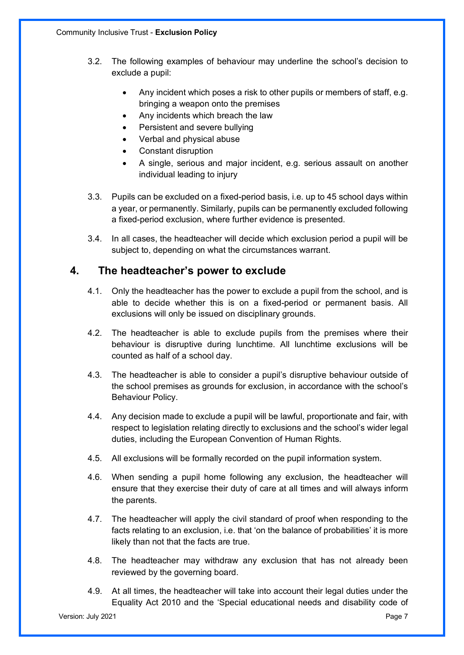- 3.2. The following examples of behaviour may underline the school's decision to exclude a pupil:
	- Any incident which poses a risk to other pupils or members of staff, e.g. bringing a weapon onto the premises
	- Any incidents which breach the law
	- Persistent and severe bullying
	- Verbal and physical abuse
	- Constant disruption
	- A single, serious and major incident, e.g. serious assault on another individual leading to injury
- 3.3. Pupils can be excluded on a fixed-period basis, i.e. up to 45 school days within a year, or permanently. Similarly, pupils can be permanently excluded following a fixed-period exclusion, where further evidence is presented.
- 3.4. In all cases, the headteacher will decide which exclusion period a pupil will be subject to, depending on what the circumstances warrant.

#### **4. The headteacher's power to exclude**

- 4.1. Only the headteacher has the power to exclude a pupil from the school, and is able to decide whether this is on a fixed-period or permanent basis. All exclusions will only be issued on disciplinary grounds.
- 4.2. The headteacher is able to exclude pupils from the premises where their behaviour is disruptive during lunchtime. All lunchtime exclusions will be counted as half of a school day.
- 4.3. The headteacher is able to consider a pupil's disruptive behaviour outside of the school premises as grounds for exclusion, in accordance with the school's Behaviour Policy.
- 4.4. Any decision made to exclude a pupil will be lawful, proportionate and fair, with respect to legislation relating directly to exclusions and the school's wider legal duties, including the European Convention of Human Rights.
- 4.5. All exclusions will be formally recorded on the pupil information system.
- 4.6. When sending a pupil home following any exclusion, the headteacher will ensure that they exercise their duty of care at all times and will always inform the parents.
- 4.7. The headteacher will apply the civil standard of proof when responding to the facts relating to an exclusion, i.e. that 'on the balance of probabilities' it is more likely than not that the facts are true.
- 4.8. The headteacher may withdraw any exclusion that has not already been reviewed by the governing board.
- 4.9. At all times, the headteacher will take into account their legal duties under the Equality Act 2010 and the 'Special educational needs and disability code of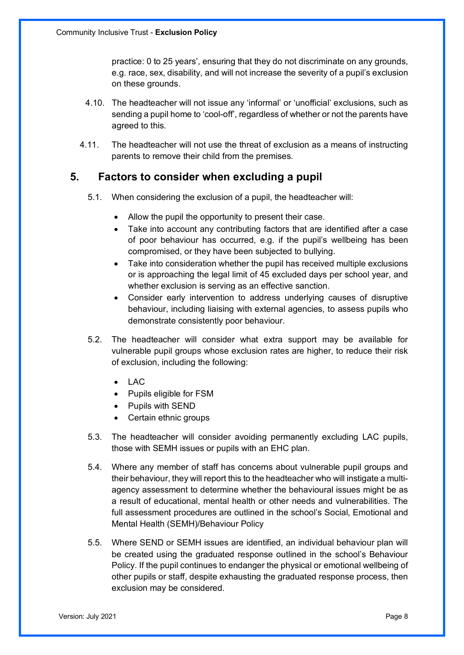practice: 0 to 25 years', ensuring that they do not discriminate on any grounds, e.g. race, sex, disability, and will not increase the severity of a pupil's exclusion on these grounds.

- 4.10. The headteacher will not issue any 'informal' or 'unofficial' exclusions, such as sending a pupil home to 'cool-off', regardless of whether or not the parents have agreed to this.
- 4.11. The headteacher will not use the threat of exclusion as a means of instructing parents to remove their child from the premises.

#### **5. Factors to consider when excluding a pupil**

- 5.1. When considering the exclusion of a pupil, the headteacher will:
	- Allow the pupil the opportunity to present their case.
	- Take into account any contributing factors that are identified after a case of poor behaviour has occurred, e.g. if the pupil's wellbeing has been compromised, or they have been subjected to bullying.
	- Take into consideration whether the pupil has received multiple exclusions or is approaching the legal limit of 45 excluded days per school year, and whether exclusion is serving as an effective sanction.
	- Consider early intervention to address underlying causes of disruptive behaviour, including liaising with external agencies, to assess pupils who demonstrate consistently poor behaviour.
- 5.2. The headteacher will consider what extra support may be available for vulnerable pupil groups whose exclusion rates are higher, to reduce their risk of exclusion, including the following:
	- LAC
	- Pupils eligible for FSM
	- Pupils with SEND
	- Certain ethnic groups
- 5.3. The headteacher will consider avoiding permanently excluding LAC pupils, those with SEMH issues or pupils with an EHC plan.
- 5.4. Where any member of staff has concerns about vulnerable pupil groups and their behaviour, they will report this to the headteacher who will instigate a multiagency assessment to determine whether the behavioural issues might be as a result of educational, mental health or other needs and vulnerabilities. The full assessment procedures are outlined in the school's Social, Emotional and Mental Health (SEMH)/Behaviour Policy
- 5.5. Where SEND or SEMH issues are identified, an individual behaviour plan will be created using the graduated response outlined in the school's Behaviour Policy. If the pupil continues to endanger the physical or emotional wellbeing of other pupils or staff, despite exhausting the graduated response process, then exclusion may be considered.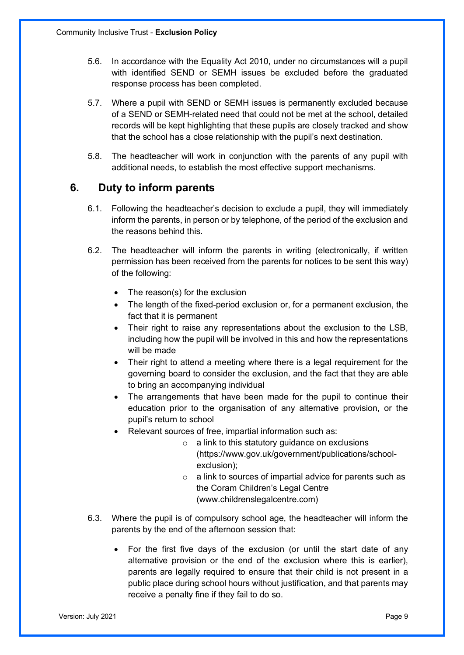- 5.6. In accordance with the Equality Act 2010, under no circumstances will a pupil with identified SEND or SEMH issues be excluded before the graduated response process has been completed.
- 5.7. Where a pupil with SEND or SEMH issues is permanently excluded because of a SEND or SEMH-related need that could not be met at the school, detailed records will be kept highlighting that these pupils are closely tracked and show that the school has a close relationship with the pupil's next destination.
- 5.8. The headteacher will work in conjunction with the parents of any pupil with additional needs, to establish the most effective support mechanisms.

## **6. Duty to inform parents**

- 6.1. Following the headteacher's decision to exclude a pupil, they will immediately inform the parents, in person or by telephone, of the period of the exclusion and the reasons behind this.
- 6.2. The headteacher will inform the parents in writing (electronically, if written permission has been received from the parents for notices to be sent this way) of the following:
	- The reason(s) for the exclusion
	- The length of the fixed-period exclusion or, for a permanent exclusion, the fact that it is permanent
	- Their right to raise any representations about the exclusion to the LSB, including how the pupil will be involved in this and how the representations will be made
	- Their right to attend a meeting where there is a legal requirement for the governing board to consider the exclusion, and the fact that they are able to bring an accompanying individual
	- The arrangements that have been made for the pupil to continue their education prior to the organisation of any alternative provision, or the pupil's return to school
	- Relevant sources of free, impartial information such as:
		- $\circ$  a link to this statutory quidance on exclusions (https://www.gov.uk/government/publications/schoolexclusion);
		- o a link to sources of impartial advice for parents such as the Coram Children's Legal Centre (www.childrenslegalcentre.com)
- 6.3. Where the pupil is of compulsory school age, the headteacher will inform the parents by the end of the afternoon session that:
	- For the first five days of the exclusion (or until the start date of any alternative provision or the end of the exclusion where this is earlier), parents are legally required to ensure that their child is not present in a public place during school hours without justification, and that parents may receive a penalty fine if they fail to do so.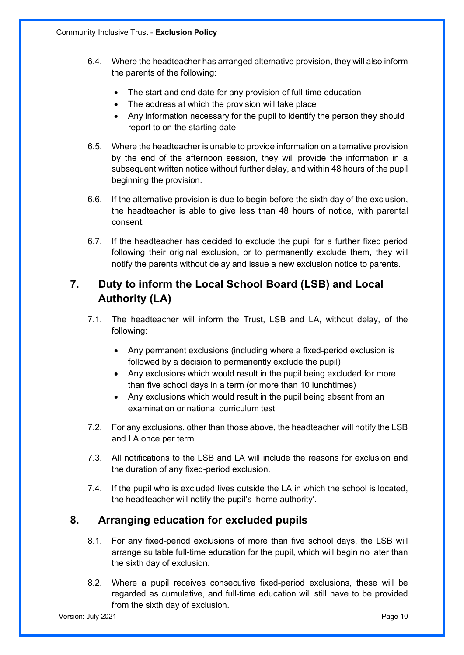- 6.4. Where the headteacher has arranged alternative provision, they will also inform the parents of the following:
	- The start and end date for any provision of full-time education
	- The address at which the provision will take place
	- Any information necessary for the pupil to identify the person they should report to on the starting date
- 6.5. Where the headteacher is unable to provide information on alternative provision by the end of the afternoon session, they will provide the information in a subsequent written notice without further delay, and within 48 hours of the pupil beginning the provision.
- 6.6. If the alternative provision is due to begin before the sixth day of the exclusion, the headteacher is able to give less than 48 hours of notice, with parental consent.
- 6.7. If the headteacher has decided to exclude the pupil for a further fixed period following their original exclusion, or to permanently exclude them, they will notify the parents without delay and issue a new exclusion notice to parents.

# **7. Duty to inform the Local School Board (LSB) and Local Authority (LA)**

- 7.1. The headteacher will inform the Trust, LSB and LA, without delay, of the following:
	- Any permanent exclusions (including where a fixed-period exclusion is followed by a decision to permanently exclude the pupil)
	- Any exclusions which would result in the pupil being excluded for more than five school days in a term (or more than 10 lunchtimes)
	- Any exclusions which would result in the pupil being absent from an examination or national curriculum test
- 7.2. For any exclusions, other than those above, the headteacher will notify the LSB and LA once per term.
- 7.3. All notifications to the LSB and LA will include the reasons for exclusion and the duration of any fixed-period exclusion.
- 7.4. If the pupil who is excluded lives outside the LA in which the school is located, the headteacher will notify the pupil's 'home authority'.

## **8. Arranging education for excluded pupils**

- 8.1. For any fixed-period exclusions of more than five school days, the LSB will arrange suitable full-time education for the pupil, which will begin no later than the sixth day of exclusion.
- 8.2. Where a pupil receives consecutive fixed-period exclusions, these will be regarded as cumulative, and full-time education will still have to be provided from the sixth day of exclusion.

Version: July 2021 **Page 10**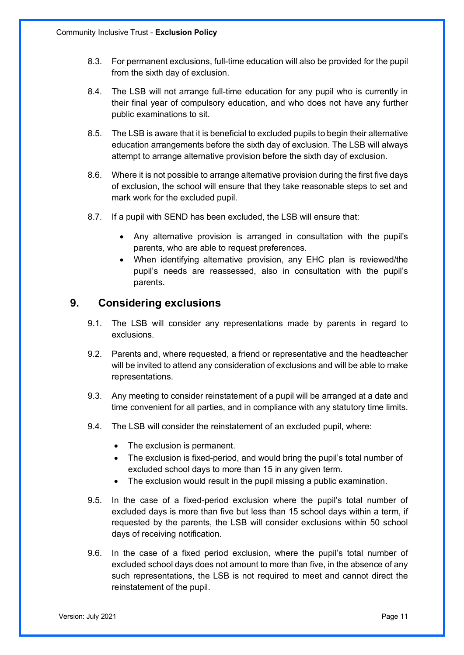- 8.3. For permanent exclusions, full-time education will also be provided for the pupil from the sixth day of exclusion.
- 8.4. The LSB will not arrange full-time education for any pupil who is currently in their final year of compulsory education, and who does not have any further public examinations to sit.
- 8.5. The LSB is aware that it is beneficial to excluded pupils to begin their alternative education arrangements before the sixth day of exclusion. The LSB will always attempt to arrange alternative provision before the sixth day of exclusion.
- 8.6. Where it is not possible to arrange alternative provision during the first five days of exclusion, the school will ensure that they take reasonable steps to set and mark work for the excluded pupil.
- 8.7. If a pupil with SEND has been excluded, the LSB will ensure that:
	- Any alternative provision is arranged in consultation with the pupil's parents, who are able to request preferences.
	- When identifying alternative provision, any EHC plan is reviewed/the pupil's needs are reassessed, also in consultation with the pupil's parents.

#### **9. Considering exclusions**

- 9.1. The LSB will consider any representations made by parents in regard to exclusions.
- 9.2. Parents and, where requested, a friend or representative and the headteacher will be invited to attend any consideration of exclusions and will be able to make representations.
- 9.3. Any meeting to consider reinstatement of a pupil will be arranged at a date and time convenient for all parties, and in compliance with any statutory time limits.
- 9.4. The LSB will consider the reinstatement of an excluded pupil, where:
	- The exclusion is permanent.
	- The exclusion is fixed-period, and would bring the pupil's total number of excluded school days to more than 15 in any given term.
	- The exclusion would result in the pupil missing a public examination.
- 9.5. In the case of a fixed-period exclusion where the pupil's total number of excluded days is more than five but less than 15 school days within a term, if requested by the parents, the LSB will consider exclusions within 50 school days of receiving notification.
- 9.6. In the case of a fixed period exclusion, where the pupil's total number of excluded school days does not amount to more than five, in the absence of any such representations, the LSB is not required to meet and cannot direct the reinstatement of the pupil.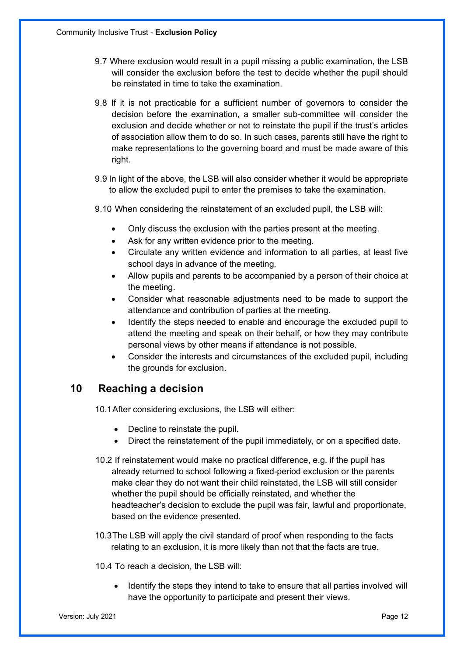- 9.7 Where exclusion would result in a pupil missing a public examination, the LSB will consider the exclusion before the test to decide whether the pupil should be reinstated in time to take the examination.
- 9.8 If it is not practicable for a sufficient number of governors to consider the decision before the examination, a smaller sub-committee will consider the exclusion and decide whether or not to reinstate the pupil if the trust's articles of association allow them to do so. In such cases, parents still have the right to make representations to the governing board and must be made aware of this right.
- 9.9 In light of the above, the LSB will also consider whether it would be appropriate to allow the excluded pupil to enter the premises to take the examination.
- 9.10 When considering the reinstatement of an excluded pupil, the LSB will:
	- Only discuss the exclusion with the parties present at the meeting.
	- Ask for any written evidence prior to the meeting.
	- Circulate any written evidence and information to all parties, at least five school days in advance of the meeting.
	- Allow pupils and parents to be accompanied by a person of their choice at the meeting.
	- Consider what reasonable adjustments need to be made to support the attendance and contribution of parties at the meeting.
	- Identify the steps needed to enable and encourage the excluded pupil to attend the meeting and speak on their behalf, or how they may contribute personal views by other means if attendance is not possible.
	- Consider the interests and circumstances of the excluded pupil, including the grounds for exclusion.

## **10 Reaching a decision**

10.1After considering exclusions, the LSB will either:

- Decline to reinstate the pupil.
- Direct the reinstatement of the pupil immediately, or on a specified date.
- 10.2 If reinstatement would make no practical difference, e.g. if the pupil has already returned to school following a fixed-period exclusion or the parents make clear they do not want their child reinstated, the LSB will still consider whether the pupil should be officially reinstated, and whether the headteacher's decision to exclude the pupil was fair, lawful and proportionate, based on the evidence presented.
- 10.3The LSB will apply the civil standard of proof when responding to the facts relating to an exclusion, it is more likely than not that the facts are true.
- 10.4 To reach a decision, the LSB will:
	- Identify the steps they intend to take to ensure that all parties involved will have the opportunity to participate and present their views.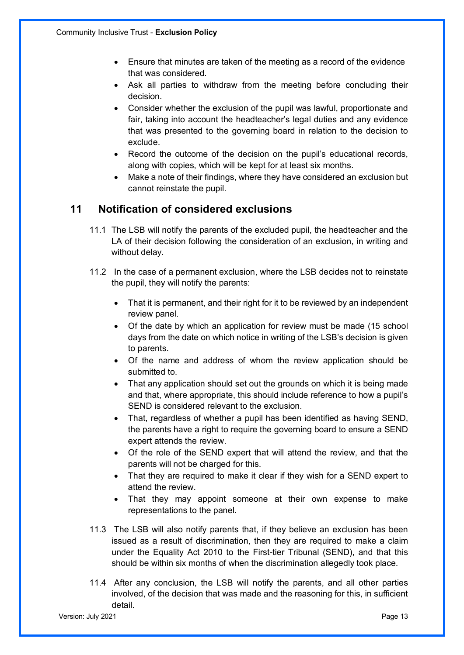- Ensure that minutes are taken of the meeting as a record of the evidence that was considered.
- Ask all parties to withdraw from the meeting before concluding their decision.
- Consider whether the exclusion of the pupil was lawful, proportionate and fair, taking into account the headteacher's legal duties and any evidence that was presented to the governing board in relation to the decision to exclude.
- Record the outcome of the decision on the pupil's educational records, along with copies, which will be kept for at least six months.
- Make a note of their findings, where they have considered an exclusion but cannot reinstate the pupil.

#### **11 Notification of considered exclusions**

- 11.1 The LSB will notify the parents of the excluded pupil, the headteacher and the LA of their decision following the consideration of an exclusion, in writing and without delay.
- 11.2 In the case of a permanent exclusion, where the LSB decides not to reinstate the pupil, they will notify the parents:
	- That it is permanent, and their right for it to be reviewed by an independent review panel.
	- Of the date by which an application for review must be made (15 school days from the date on which notice in writing of the LSB's decision is given to parents.
	- Of the name and address of whom the review application should be submitted to.
	- That any application should set out the grounds on which it is being made and that, where appropriate, this should include reference to how a pupil's SEND is considered relevant to the exclusion.
	- That, regardless of whether a pupil has been identified as having SEND, the parents have a right to require the governing board to ensure a SEND expert attends the review.
	- Of the role of the SEND expert that will attend the review, and that the parents will not be charged for this.
	- That they are required to make it clear if they wish for a SEND expert to attend the review.
	- That they may appoint someone at their own expense to make representations to the panel.
- 11.3 The LSB will also notify parents that, if they believe an exclusion has been issued as a result of discrimination, then they are required to make a claim under the Equality Act 2010 to the First-tier Tribunal (SEND), and that this should be within six months of when the discrimination allegedly took place.
- 11.4 After any conclusion, the LSB will notify the parents, and all other parties involved, of the decision that was made and the reasoning for this, in sufficient detail.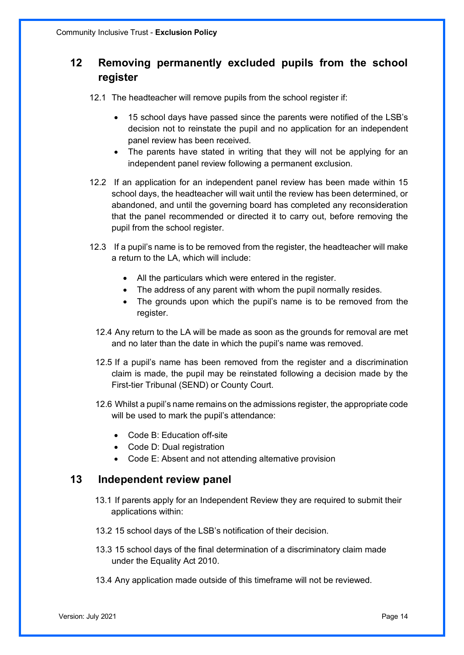# **12 Removing permanently excluded pupils from the school register**

12.1 The headteacher will remove pupils from the school register if:

- 15 school days have passed since the parents were notified of the LSB's decision not to reinstate the pupil and no application for an independent panel review has been received.
- The parents have stated in writing that they will not be applying for an independent panel review following a permanent exclusion.
- 12.2 If an application for an independent panel review has been made within 15 school days, the headteacher will wait until the review has been determined, or abandoned, and until the governing board has completed any reconsideration that the panel recommended or directed it to carry out, before removing the pupil from the school register.
- 12.3 If a pupil's name is to be removed from the register, the headteacher will make a return to the LA, which will include:
	- All the particulars which were entered in the register.
	- The address of any parent with whom the pupil normally resides.
	- The grounds upon which the pupil's name is to be removed from the register.
	- 12.4 Any return to the LA will be made as soon as the grounds for removal are met and no later than the date in which the pupil's name was removed.
	- 12.5 If a pupil's name has been removed from the register and a discrimination claim is made, the pupil may be reinstated following a decision made by the First-tier Tribunal (SEND) or County Court.
	- 12.6 Whilst a pupil's name remains on the admissions register, the appropriate code will be used to mark the pupil's attendance:
		- Code B: Education off-site
		- Code D: Dual registration
		- Code E: Absent and not attending alternative provision

#### **13 Independent review panel**

- 13.1 If parents apply for an Independent Review they are required to submit their applications within:
- 13.2 15 school days of the LSB's notification of their decision.
- 13.3 15 school days of the final determination of a discriminatory claim made under the Equality Act 2010.
- 13.4 Any application made outside of this timeframe will not be reviewed.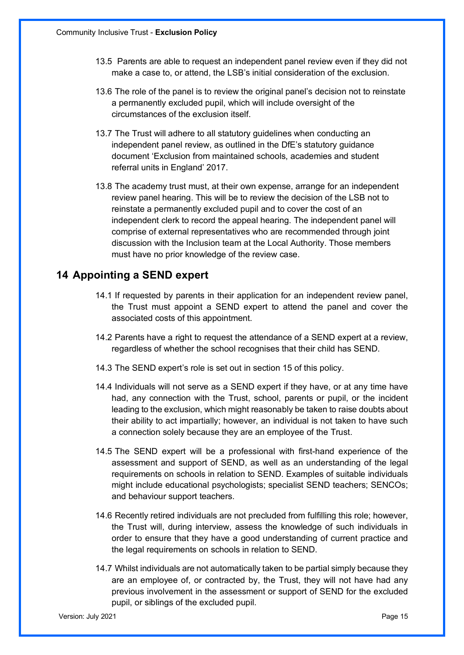- 13.5 Parents are able to request an independent panel review even if they did not make a case to, or attend, the LSB's initial consideration of the exclusion.
- 13.6 The role of the panel is to review the original panel's decision not to reinstate a permanently excluded pupil, which will include oversight of the circumstances of the exclusion itself.
- 13.7 The Trust will adhere to all statutory guidelines when conducting an independent panel review, as outlined in the DfE's statutory guidance document 'Exclusion from maintained schools, academies and student referral units in England' 2017.
- 13.8 The academy trust must, at their own expense, arrange for an independent review panel hearing. This will be to review the decision of the LSB not to reinstate a permanently excluded pupil and to cover the cost of an independent clerk to record the appeal hearing. The independent panel will comprise of external representatives who are recommended through joint discussion with the Inclusion team at the Local Authority. Those members must have no prior knowledge of the review case.

#### **14 Appointing a SEND expert**

- 14.1 If requested by parents in their application for an independent review panel, the Trust must appoint a SEND expert to attend the panel and cover the associated costs of this appointment.
- 14.2 Parents have a right to request the attendance of a SEND expert at a review, regardless of whether the school recognises that their child has SEND.
- 14.3 The SEND expert's role is set out in section 15 of this policy.
- 14.4 Individuals will not serve as a SEND expert if they have, or at any time have had, any connection with the Trust, school, parents or pupil, or the incident leading to the exclusion, which might reasonably be taken to raise doubts about their ability to act impartially; however, an individual is not taken to have such a connection solely because they are an employee of the Trust.
- 14.5 The SEND expert will be a professional with first-hand experience of the assessment and support of SEND, as well as an understanding of the legal requirements on schools in relation to SEND. Examples of suitable individuals might include educational psychologists; specialist SEND teachers; SENCOs; and behaviour support teachers.
- 14.6 Recently retired individuals are not precluded from fulfilling this role; however, the Trust will, during interview, assess the knowledge of such individuals in order to ensure that they have a good understanding of current practice and the legal requirements on schools in relation to SEND.
- 14.7 Whilst individuals are not automatically taken to be partial simply because they are an employee of, or contracted by, the Trust, they will not have had any previous involvement in the assessment or support of SEND for the excluded pupil, or siblings of the excluded pupil.

Version: July 2021 Page 15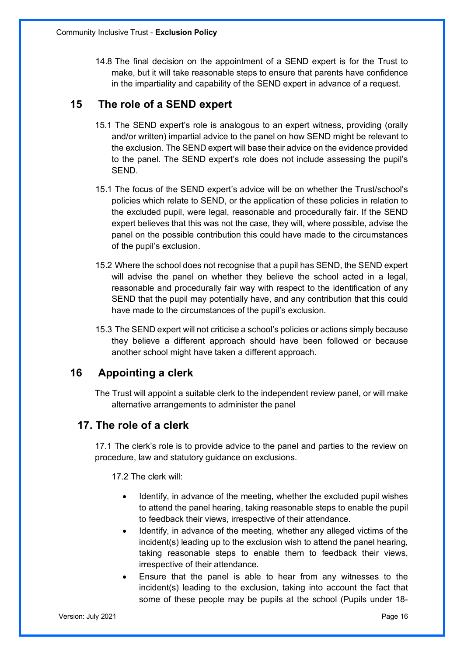14.8 The final decision on the appointment of a SEND expert is for the Trust to make, but it will take reasonable steps to ensure that parents have confidence in the impartiality and capability of the SEND expert in advance of a request.

## **15 The role of a SEND expert**

- 15.1 The SEND expert's role is analogous to an expert witness, providing (orally and/or written) impartial advice to the panel on how SEND might be relevant to the exclusion. The SEND expert will base their advice on the evidence provided to the panel. The SEND expert's role does not include assessing the pupil's SEND.
- 15.1 The focus of the SEND expert's advice will be on whether the Trust/school's policies which relate to SEND, or the application of these policies in relation to the excluded pupil, were legal, reasonable and procedurally fair. If the SEND expert believes that this was not the case, they will, where possible, advise the panel on the possible contribution this could have made to the circumstances of the pupil's exclusion.
- 15.2 Where the school does not recognise that a pupil has SEND, the SEND expert will advise the panel on whether they believe the school acted in a legal, reasonable and procedurally fair way with respect to the identification of any SEND that the pupil may potentially have, and any contribution that this could have made to the circumstances of the pupil's exclusion.
- 15.3 The SEND expert will not criticise a school's policies or actions simply because they believe a different approach should have been followed or because another school might have taken a different approach.

## **16 Appointing a clerk**

The Trust will appoint a suitable clerk to the independent review panel, or will make alternative arrangements to administer the panel

## **17. The role of a clerk**

17.1 The clerk's role is to provide advice to the panel and parties to the review on procedure, law and statutory guidance on exclusions.

17.2 The clerk will:

- Identify, in advance of the meeting, whether the excluded pupil wishes to attend the panel hearing, taking reasonable steps to enable the pupil to feedback their views, irrespective of their attendance.
- Identify, in advance of the meeting, whether any alleged victims of the incident(s) leading up to the exclusion wish to attend the panel hearing, taking reasonable steps to enable them to feedback their views, irrespective of their attendance.
- Ensure that the panel is able to hear from any witnesses to the incident(s) leading to the exclusion, taking into account the fact that some of these people may be pupils at the school (Pupils under 18-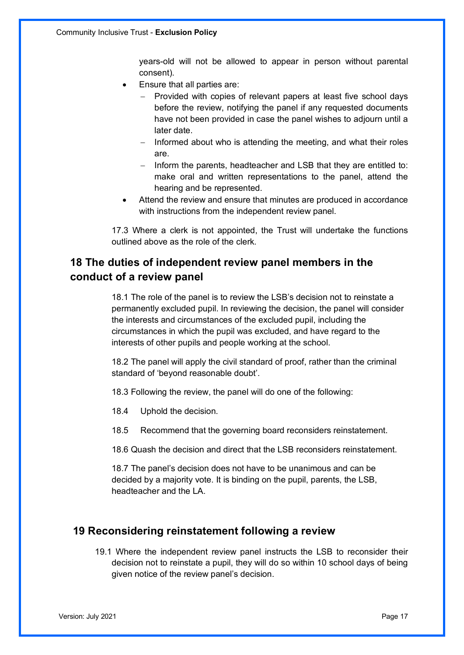years-old will not be allowed to appear in person without parental consent).

- Ensure that all parties are:
	- Provided with copies of relevant papers at least five school days before the review, notifying the panel if any requested documents have not been provided in case the panel wishes to adjourn until a later date.
	- Informed about who is attending the meeting, and what their roles are.
	- Inform the parents, headteacher and LSB that they are entitled to: make oral and written representations to the panel, attend the hearing and be represented.
- Attend the review and ensure that minutes are produced in accordance with instructions from the independent review panel.

17.3 Where a clerk is not appointed, the Trust will undertake the functions outlined above as the role of the clerk.

## **18 The duties of independent review panel members in the conduct of a review panel**

18.1 The role of the panel is to review the LSB's decision not to reinstate a permanently excluded pupil. In reviewing the decision, the panel will consider the interests and circumstances of the excluded pupil, including the circumstances in which the pupil was excluded, and have regard to the interests of other pupils and people working at the school.

18.2 The panel will apply the civil standard of proof, rather than the criminal standard of 'beyond reasonable doubt'.

18.3 Following the review, the panel will do one of the following:

- 18.4 Uphold the decision.
- 18.5 Recommend that the governing board reconsiders reinstatement.

18.6 Quash the decision and direct that the LSB reconsiders reinstatement.

18.7 The panel's decision does not have to be unanimous and can be decided by a majority vote. It is binding on the pupil, parents, the LSB, headteacher and the LA.

#### **19 Reconsidering reinstatement following a review**

19.1 Where the independent review panel instructs the LSB to reconsider their decision not to reinstate a pupil, they will do so within 10 school days of being given notice of the review panel's decision.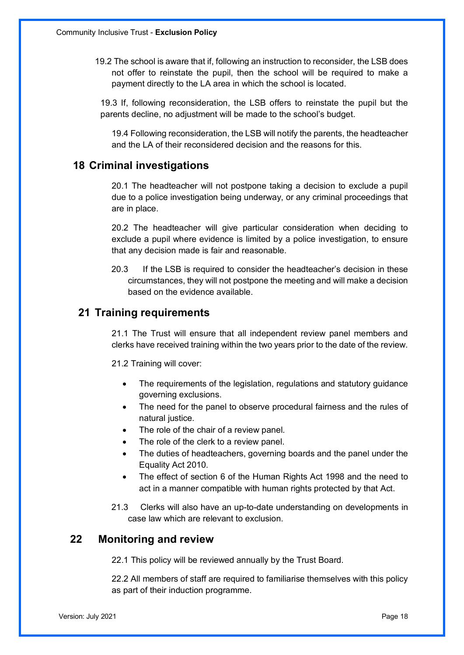19.2 The school is aware that if, following an instruction to reconsider, the LSB does not offer to reinstate the pupil, then the school will be required to make a payment directly to the LA area in which the school is located.

19.3 If, following reconsideration, the LSB offers to reinstate the pupil but the parents decline, no adjustment will be made to the school's budget.

19.4 Following reconsideration, the LSB will notify the parents, the headteacher and the LA of their reconsidered decision and the reasons for this.

#### **18 Criminal investigations**

20.1 The headteacher will not postpone taking a decision to exclude a pupil due to a police investigation being underway, or any criminal proceedings that are in place.

20.2 The headteacher will give particular consideration when deciding to exclude a pupil where evidence is limited by a police investigation, to ensure that any decision made is fair and reasonable.

20.3 If the LSB is required to consider the headteacher's decision in these circumstances, they will not postpone the meeting and will make a decision based on the evidence available.

#### **21 Training requirements**

21.1 The Trust will ensure that all independent review panel members and clerks have received training within the two years prior to the date of the review.

21.2 Training will cover:

- The requirements of the legislation, regulations and statutory guidance governing exclusions.
- The need for the panel to observe procedural fairness and the rules of natural justice.
- The role of the chair of a review panel.
- The role of the clerk to a review panel.
- The duties of headteachers, governing boards and the panel under the Equality Act 2010.
- The effect of section 6 of the Human Rights Act 1998 and the need to act in a manner compatible with human rights protected by that Act.
- 21.3 Clerks will also have an up-to-date understanding on developments in case law which are relevant to exclusion.

#### **22 Monitoring and review**

22.1 This policy will be reviewed annually by the Trust Board.

22.2 All members of staff are required to familiarise themselves with this policy as part of their induction programme.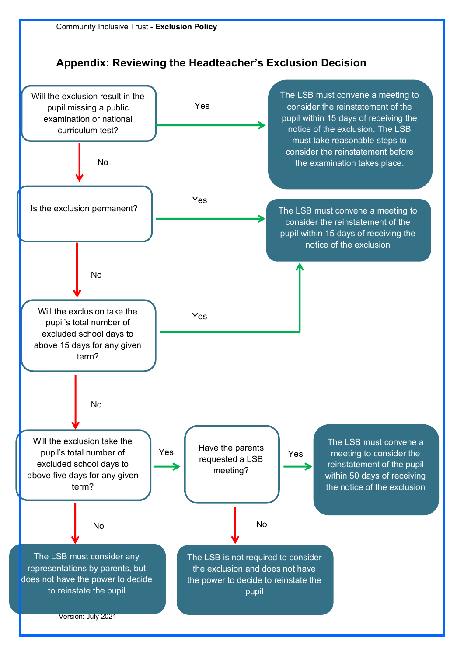**Appendix: Reviewing the Headteacher's Exclusion Decision**